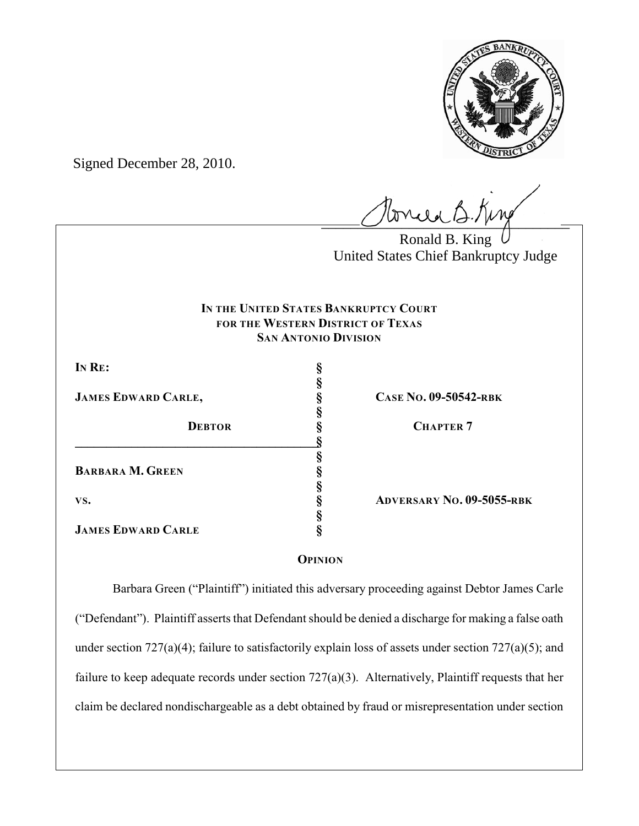

Signed December 28, 2010.

 $\ell$ 

Ronald B. King United States Chief Bankruptcy Judge

# **IN THE UNITED STATES BANKRUPTCY COURT FOR THE WESTERN DISTRICT OF TEXAS SAN ANTONIO DIVISION**

**§**

**§**

**§**

**§**

**§**

**IN RE: §**

**JAMES EDWARD CARLE, § CASE NO. 09-50542-RBK**

**DEBTOR § CHAPTER 7 \_\_\_\_\_\_\_\_\_\_\_\_\_\_\_\_\_\_\_\_\_\_\_\_\_\_\_\_\_\_\_\_\_\_\_\_\_\_\_§ BARBARA M. GREEN § VS. § ADVERSARY NO. 09-5055-RBK**

**JAMES EDWARD CARLE §**

# **OPINION**

Barbara Green ("Plaintiff") initiated this adversary proceeding against Debtor James Carle ("Defendant"). Plaintiff asserts that Defendant should be denied a discharge for making a false oath under section 727(a)(4); failure to satisfactorily explain loss of assets under section 727(a)(5); and failure to keep adequate records under section 727(a)(3). Alternatively, Plaintiff requests that her claim be declared nondischargeable as a debt obtained by fraud or misrepresentation under section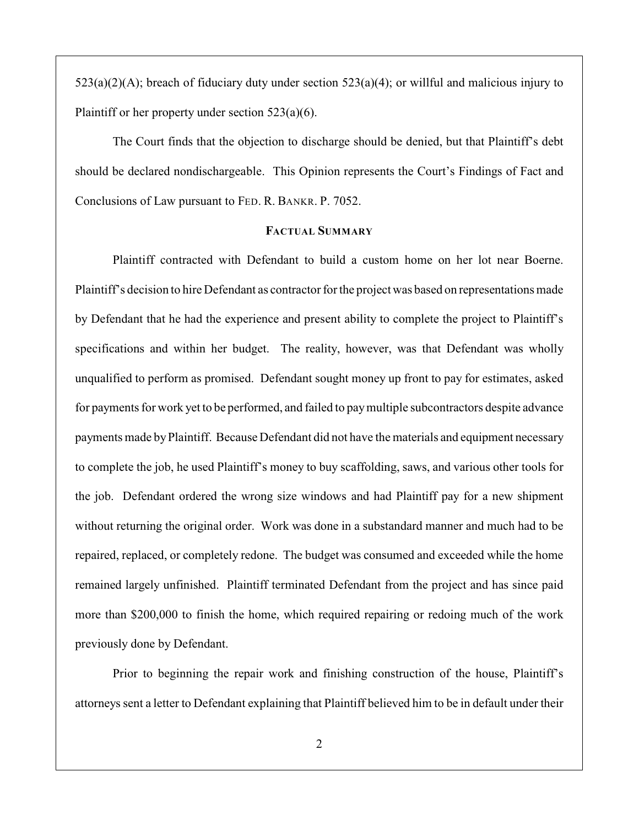$523(a)(2)(A)$ ; breach of fiduciary duty under section  $523(a)(4)$ ; or willful and malicious injury to Plaintiff or her property under section 523(a)(6).

The Court finds that the objection to discharge should be denied, but that Plaintiff's debt should be declared nondischargeable. This Opinion represents the Court's Findings of Fact and Conclusions of Law pursuant to FED. R. BANKR. P. 7052.

## **FACTUAL SUMMARY**

Plaintiff contracted with Defendant to build a custom home on her lot near Boerne. Plaintiff's decision to hire Defendant as contractor for the project was based on representations made by Defendant that he had the experience and present ability to complete the project to Plaintiff's specifications and within her budget. The reality, however, was that Defendant was wholly unqualified to perform as promised. Defendant sought money up front to pay for estimates, asked for payments for work yet to be performed, and failed to pay multiple subcontractors despite advance payments made by Plaintiff. Because Defendant did not have the materials and equipment necessary to complete the job, he used Plaintiff's money to buy scaffolding, saws, and various other tools for the job. Defendant ordered the wrong size windows and had Plaintiff pay for a new shipment without returning the original order. Work was done in a substandard manner and much had to be repaired, replaced, or completely redone. The budget was consumed and exceeded while the home remained largely unfinished. Plaintiff terminated Defendant from the project and has since paid more than \$200,000 to finish the home, which required repairing or redoing much of the work previously done by Defendant.

Prior to beginning the repair work and finishing construction of the house, Plaintiff's attorneys sent a letter to Defendant explaining that Plaintiff believed him to be in default under their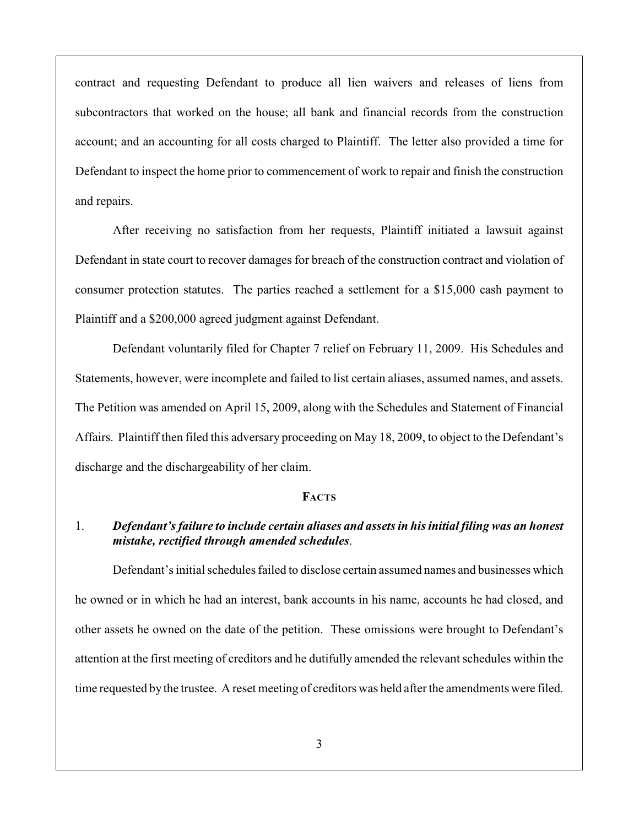contract and requesting Defendant to produce all lien waivers and releases of liens from subcontractors that worked on the house; all bank and financial records from the construction account; and an accounting for all costs charged to Plaintiff. The letter also provided a time for Defendant to inspect the home prior to commencement of work to repair and finish the construction and repairs.

After receiving no satisfaction from her requests, Plaintiff initiated a lawsuit against Defendant in state court to recover damages for breach of the construction contract and violation of consumer protection statutes. The parties reached a settlement for a \$15,000 cash payment to Plaintiff and a \$200,000 agreed judgment against Defendant.

Defendant voluntarily filed for Chapter 7 relief on February 11, 2009. His Schedules and Statements, however, were incomplete and failed to list certain aliases, assumed names, and assets. The Petition was amended on April 15, 2009, along with the Schedules and Statement of Financial Affairs. Plaintiff then filed this adversary proceeding on May 18, 2009, to object to the Defendant's discharge and the dischargeability of her claim.

### **FACTS**

## 1. *Defendant's failure to include certain aliases and assets in his initial filing was an honest mistake, rectified through amended schedules*.

Defendant's initial schedules failed to disclose certain assumed names and businesses which he owned or in which he had an interest, bank accounts in his name, accounts he had closed, and other assets he owned on the date of the petition. These omissions were brought to Defendant's attention at the first meeting of creditors and he dutifully amended the relevant schedules within the time requested by the trustee. A reset meeting of creditors was held after the amendments were filed.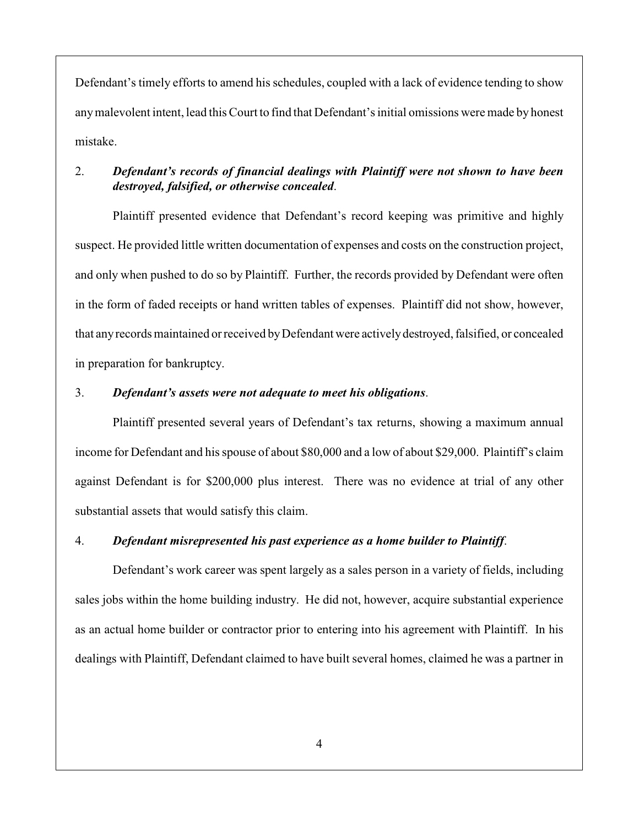Defendant's timely efforts to amend his schedules, coupled with a lack of evidence tending to show anymalevolent intent, lead this Court to find that Defendant's initial omissions were made by honest mistake.

# 2. *Defendant's records of financial dealings with Plaintiff were not shown to have been destroyed, falsified, or otherwise concealed*.

Plaintiff presented evidence that Defendant's record keeping was primitive and highly suspect. He provided little written documentation of expenses and costs on the construction project, and only when pushed to do so by Plaintiff. Further, the records provided by Defendant were often in the form of faded receipts or hand written tables of expenses. Plaintiff did not show, however, that any records maintained or received by Defendant were actively destroyed, falsified, or concealed in preparation for bankruptcy.

### 3. *Defendant's assets were not adequate to meet his obligations*.

Plaintiff presented several years of Defendant's tax returns, showing a maximum annual income for Defendant and hisspouse of about \$80,000 and a low of about \$29,000. Plaintiff's claim against Defendant is for \$200,000 plus interest. There was no evidence at trial of any other substantial assets that would satisfy this claim.

### 4. *Defendant misrepresented his past experience as a home builder to Plaintiff*.

Defendant's work career was spent largely as a sales person in a variety of fields, including sales jobs within the home building industry. He did not, however, acquire substantial experience as an actual home builder or contractor prior to entering into his agreement with Plaintiff. In his dealings with Plaintiff, Defendant claimed to have built several homes, claimed he was a partner in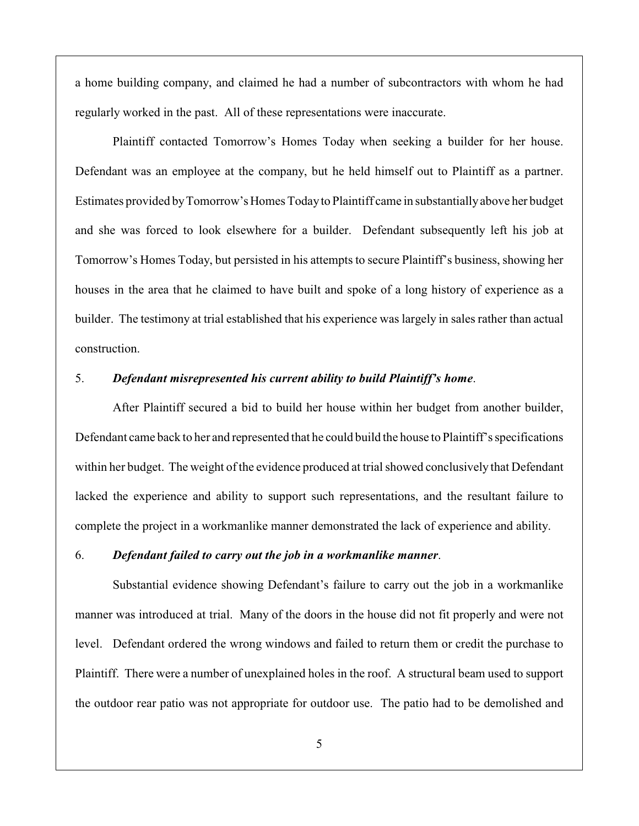a home building company, and claimed he had a number of subcontractors with whom he had regularly worked in the past. All of these representations were inaccurate.

Plaintiff contacted Tomorrow's Homes Today when seeking a builder for her house. Defendant was an employee at the company, but he held himself out to Plaintiff as a partner. Estimates provided by Tomorrow's Homes Today to Plaintiff came in substantially above her budget and she was forced to look elsewhere for a builder. Defendant subsequently left his job at Tomorrow's Homes Today, but persisted in his attempts to secure Plaintiff's business, showing her houses in the area that he claimed to have built and spoke of a long history of experience as a builder. The testimony at trial established that his experience was largely in sales rather than actual construction.

## 5. *Defendant misrepresented his current ability to build Plaintiff's home*.

After Plaintiff secured a bid to build her house within her budget from another builder, Defendant came back to her and represented that he could build the house to Plaintiff's specifications within her budget. The weight of the evidence produced at trial showed conclusively that Defendant lacked the experience and ability to support such representations, and the resultant failure to complete the project in a workmanlike manner demonstrated the lack of experience and ability.

#### 6. *Defendant failed to carry out the job in a workmanlike manner*.

Substantial evidence showing Defendant's failure to carry out the job in a workmanlike manner was introduced at trial. Many of the doors in the house did not fit properly and were not level. Defendant ordered the wrong windows and failed to return them or credit the purchase to Plaintiff. There were a number of unexplained holes in the roof. A structural beam used to support the outdoor rear patio was not appropriate for outdoor use. The patio had to be demolished and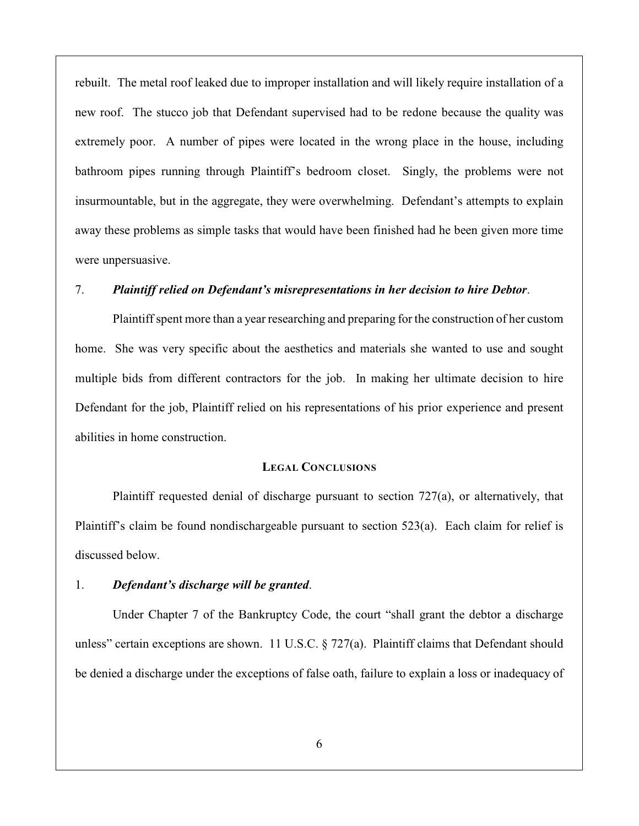rebuilt. The metal roof leaked due to improper installation and will likely require installation of a new roof. The stucco job that Defendant supervised had to be redone because the quality was extremely poor. A number of pipes were located in the wrong place in the house, including bathroom pipes running through Plaintiff's bedroom closet. Singly, the problems were not insurmountable, but in the aggregate, they were overwhelming. Defendant's attempts to explain away these problems as simple tasks that would have been finished had he been given more time were unpersuasive.

### 7. *Plaintiff relied on Defendant's misrepresentations in her decision to hire Debtor*.

Plaintiff spent more than a year researching and preparing for the construction of her custom home. She was very specific about the aesthetics and materials she wanted to use and sought multiple bids from different contractors for the job. In making her ultimate decision to hire Defendant for the job, Plaintiff relied on his representations of his prior experience and present abilities in home construction.

# **LEGAL CONCLUSIONS**

Plaintiff requested denial of discharge pursuant to section 727(a), or alternatively, that Plaintiff's claim be found nondischargeable pursuant to section 523(a). Each claim for relief is discussed below.

#### 1. *Defendant's discharge will be granted*.

Under Chapter 7 of the Bankruptcy Code, the court "shall grant the debtor a discharge unless" certain exceptions are shown. 11 U.S.C. § 727(a). Plaintiff claims that Defendant should be denied a discharge under the exceptions of false oath, failure to explain a loss or inadequacy of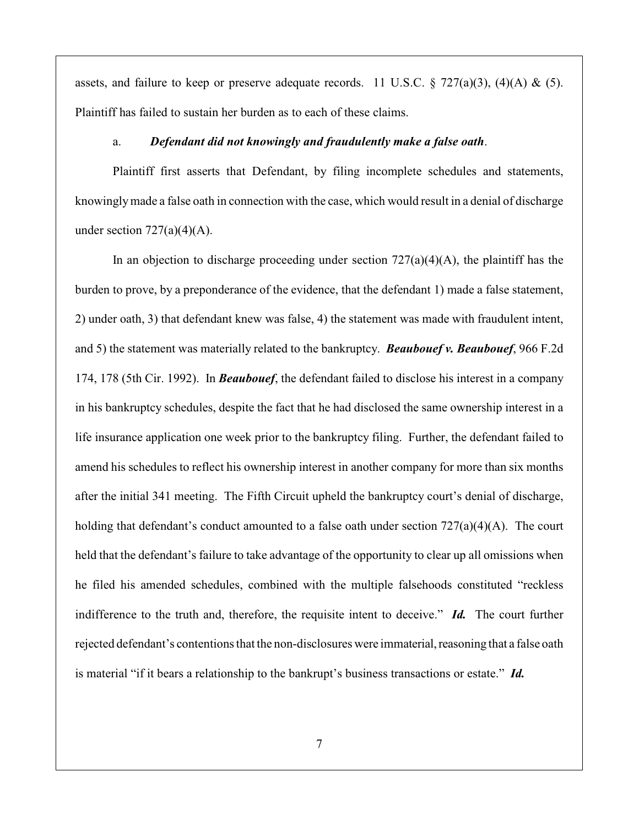assets, and failure to keep or preserve adequate records. 11 U.S.C.  $\S$  727(a)(3), (4)(A) & (5). Plaintiff has failed to sustain her burden as to each of these claims.

### a. *Defendant did not knowingly and fraudulently make a false oath*.

Plaintiff first asserts that Defendant, by filing incomplete schedules and statements, knowingly made a false oath in connection with the case, which would result in a denial of discharge under section  $727(a)(4)(A)$ .

In an objection to discharge proceeding under section  $727(a)(4)(A)$ , the plaintiff has the burden to prove, by a preponderance of the evidence, that the defendant 1) made a false statement, 2) under oath, 3) that defendant knew was false, 4) the statement was made with fraudulent intent, and 5) the statement was materially related to the bankruptcy. *Beaubouef v. Beaubouef*, 966 F.2d 174, 178 (5th Cir. 1992). In *Beaubouef*, the defendant failed to disclose his interest in a company in his bankruptcy schedules, despite the fact that he had disclosed the same ownership interest in a life insurance application one week prior to the bankruptcy filing. Further, the defendant failed to amend his schedules to reflect his ownership interest in another company for more than six months after the initial 341 meeting. The Fifth Circuit upheld the bankruptcy court's denial of discharge, holding that defendant's conduct amounted to a false oath under section  $727(a)(4)(A)$ . The court held that the defendant's failure to take advantage of the opportunity to clear up all omissions when he filed his amended schedules, combined with the multiple falsehoods constituted "reckless indifference to the truth and, therefore, the requisite intent to deceive." *Id.* The court further rejected defendant's contentions that the non-disclosures were immaterial, reasoning that a false oath is material "if it bears a relationship to the bankrupt's business transactions or estate." *Id.*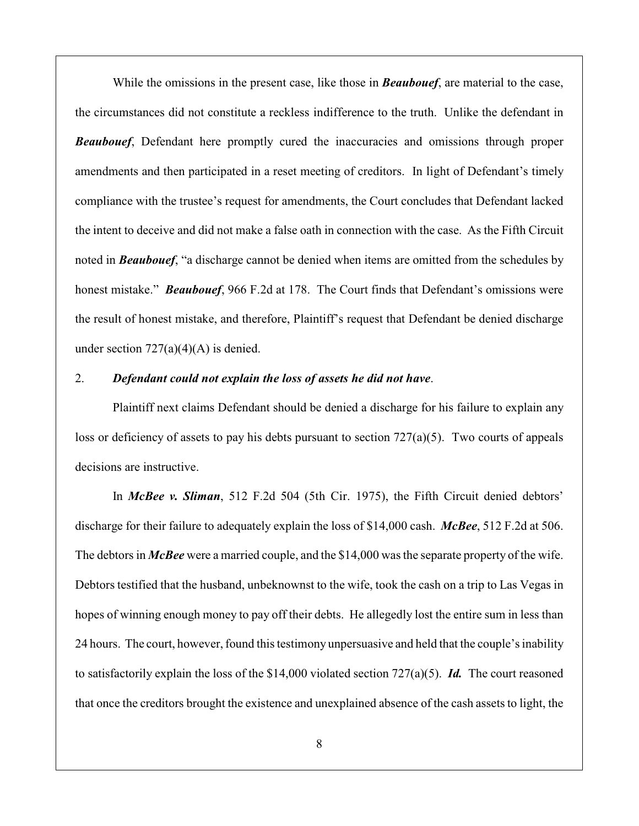While the omissions in the present case, like those in *Beaubouef*, are material to the case, the circumstances did not constitute a reckless indifference to the truth. Unlike the defendant in *Beaubouef*, Defendant here promptly cured the inaccuracies and omissions through proper amendments and then participated in a reset meeting of creditors. In light of Defendant's timely compliance with the trustee's request for amendments, the Court concludes that Defendant lacked the intent to deceive and did not make a false oath in connection with the case. As the Fifth Circuit noted in *Beaubouef*, "a discharge cannot be denied when items are omitted from the schedules by honest mistake." *Beaubouef*, 966 F.2d at 178. The Court finds that Defendant's omissions were the result of honest mistake, and therefore, Plaintiff's request that Defendant be denied discharge under section  $727(a)(4)(A)$  is denied.

## 2. *Defendant could not explain the loss of assets he did not have*.

Plaintiff next claims Defendant should be denied a discharge for his failure to explain any loss or deficiency of assets to pay his debts pursuant to section  $727(a)(5)$ . Two courts of appeals decisions are instructive.

In *McBee v. Sliman*, 512 F.2d 504 (5th Cir. 1975), the Fifth Circuit denied debtors' discharge for their failure to adequately explain the loss of \$14,000 cash. *McBee*, 512 F.2d at 506. The debtors in *McBee* were a married couple, and the \$14,000 was the separate property of the wife. Debtors testified that the husband, unbeknownst to the wife, took the cash on a trip to Las Vegas in hopes of winning enough money to pay off their debts. He allegedly lost the entire sum in less than 24 hours. The court, however, found this testimony unpersuasive and held that the couple's inability to satisfactorily explain the loss of the \$14,000 violated section 727(a)(5). *Id.* The court reasoned that once the creditors brought the existence and unexplained absence of the cash assets to light, the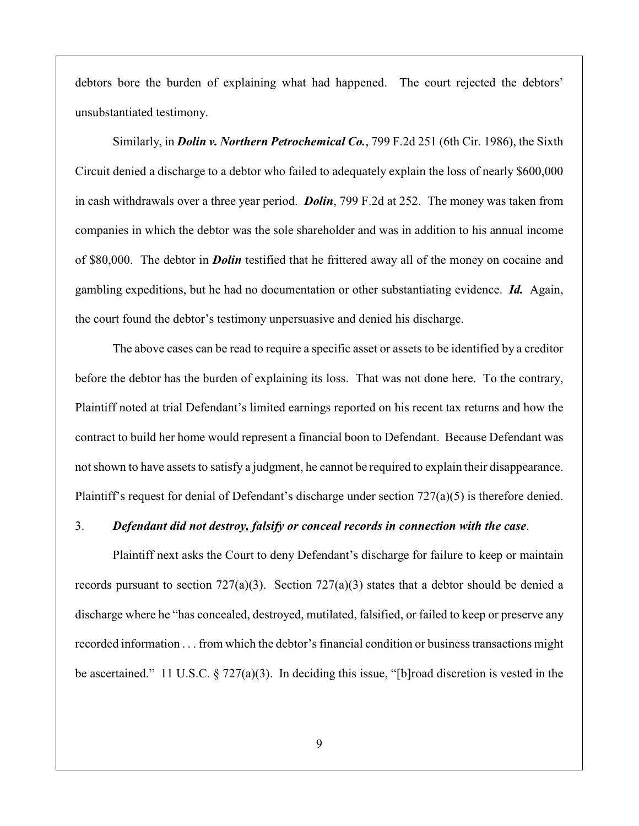debtors bore the burden of explaining what had happened. The court rejected the debtors' unsubstantiated testimony.

Similarly, in *Dolin v. Northern Petrochemical Co.*, 799 F.2d 251 (6th Cir. 1986), the Sixth Circuit denied a discharge to a debtor who failed to adequately explain the loss of nearly \$600,000 in cash withdrawals over a three year period. *Dolin*, 799 F.2d at 252. The money was taken from companies in which the debtor was the sole shareholder and was in addition to his annual income of \$80,000. The debtor in *Dolin* testified that he frittered away all of the money on cocaine and gambling expeditions, but he had no documentation or other substantiating evidence. *Id.* Again, the court found the debtor's testimony unpersuasive and denied his discharge.

The above cases can be read to require a specific asset or assets to be identified by a creditor before the debtor has the burden of explaining its loss. That was not done here. To the contrary, Plaintiff noted at trial Defendant's limited earnings reported on his recent tax returns and how the contract to build her home would represent a financial boon to Defendant. Because Defendant was not shown to have assets to satisfy a judgment, he cannot be required to explain their disappearance. Plaintiff's request for denial of Defendant's discharge under section  $727(a)(5)$  is therefore denied.

#### 3. *Defendant did not destroy, falsify or conceal records in connection with the case*.

Plaintiff next asks the Court to deny Defendant's discharge for failure to keep or maintain records pursuant to section 727(a)(3). Section 727(a)(3) states that a debtor should be denied a discharge where he "has concealed, destroyed, mutilated, falsified, or failed to keep or preserve any recorded information . . . from which the debtor's financial condition or business transactions might be ascertained." 11 U.S.C. § 727(a)(3). In deciding this issue, "[b]road discretion is vested in the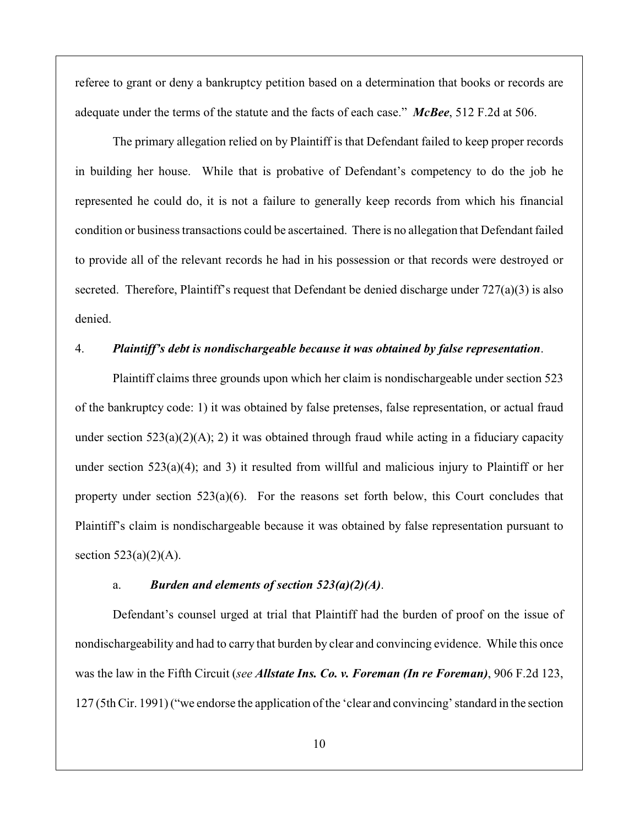referee to grant or deny a bankruptcy petition based on a determination that books or records are adequate under the terms of the statute and the facts of each case." *McBee*, 512 F.2d at 506.

The primary allegation relied on by Plaintiff is that Defendant failed to keep proper records in building her house. While that is probative of Defendant's competency to do the job he represented he could do, it is not a failure to generally keep records from which his financial condition or business transactions could be ascertained. There is no allegation that Defendant failed to provide all of the relevant records he had in his possession or that records were destroyed or secreted. Therefore, Plaintiff's request that Defendant be denied discharge under 727(a)(3) is also denied.

#### 4. *Plaintiff's debt is nondischargeable because it was obtained by false representation*.

Plaintiff claims three grounds upon which her claim is nondischargeable under section 523 of the bankruptcy code: 1) it was obtained by false pretenses, false representation, or actual fraud under section  $523(a)(2)(A)$ ; 2) it was obtained through fraud while acting in a fiduciary capacity under section  $523(a)(4)$ ; and 3) it resulted from willful and malicious injury to Plaintiff or her property under section  $523(a)(6)$ . For the reasons set forth below, this Court concludes that Plaintiff's claim is nondischargeable because it was obtained by false representation pursuant to section  $523(a)(2)(A)$ .

### a. *Burden and elements of section 523(a)(2)(A)*.

Defendant's counsel urged at trial that Plaintiff had the burden of proof on the issue of nondischargeability and had to carry that burden by clear and convincing evidence. While this once was the law in the Fifth Circuit (*see Allstate Ins. Co. v. Foreman (In re Foreman)*, 906 F.2d 123, 127 (5th Cir. 1991) ("we endorse the application of the 'clear and convincing' standard in the section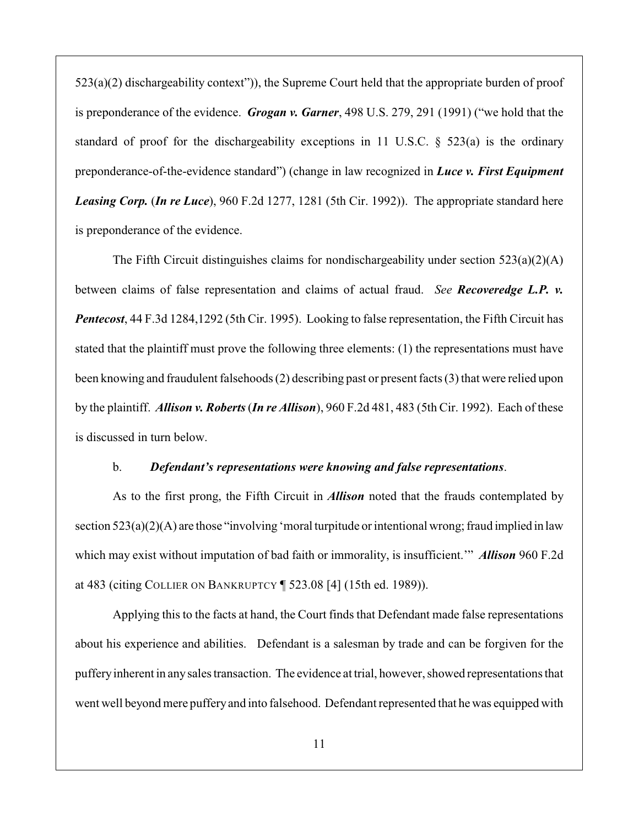523(a)(2) dischargeability context")), the Supreme Court held that the appropriate burden of proof is preponderance of the evidence. *Grogan v. Garner*, 498 U.S. 279, 291 (1991) ("we hold that the standard of proof for the dischargeability exceptions in 11 U.S.C. § 523(a) is the ordinary preponderance-of-the-evidence standard") (change in law recognized in *Luce v. First Equipment Leasing Corp.* (*In re Luce*), 960 F.2d 1277, 1281 (5th Cir. 1992)). The appropriate standard here is preponderance of the evidence.

The Fifth Circuit distinguishes claims for nondischargeability under section  $523(a)(2)(A)$ between claims of false representation and claims of actual fraud. *See Recoveredge L.P. v. Pentecost*, 44 F.3d 1284,1292 (5th Cir. 1995). Looking to false representation, the Fifth Circuit has stated that the plaintiff must prove the following three elements: (1) the representations must have been knowing and fraudulent falsehoods (2) describing past or present facts (3) that were relied upon by the plaintiff. *Allison v. Roberts* (*In re Allison*), 960 F.2d 481, 483 (5th Cir. 1992). Each of these is discussed in turn below.

### b. *Defendant's representations were knowing and false representations*.

As to the first prong, the Fifth Circuit in *Allison* noted that the frauds contemplated by section  $523(a)(2)(A)$  are those "involving 'moral turpitude or intentional wrong; fraud implied in law which may exist without imputation of bad faith or immorality, is insufficient.'" *Allison* 960 F.2d at 483 (citing COLLIER ON BANKRUPTCY ¶ 523.08 [4] (15th ed. 1989)).

Applying this to the facts at hand, the Court finds that Defendant made false representations about his experience and abilities. Defendant is a salesman by trade and can be forgiven for the puffery inherent in any sales transaction. The evidence at trial, however, showed representations that went well beyond mere puffery and into falsehood. Defendant represented that he was equipped with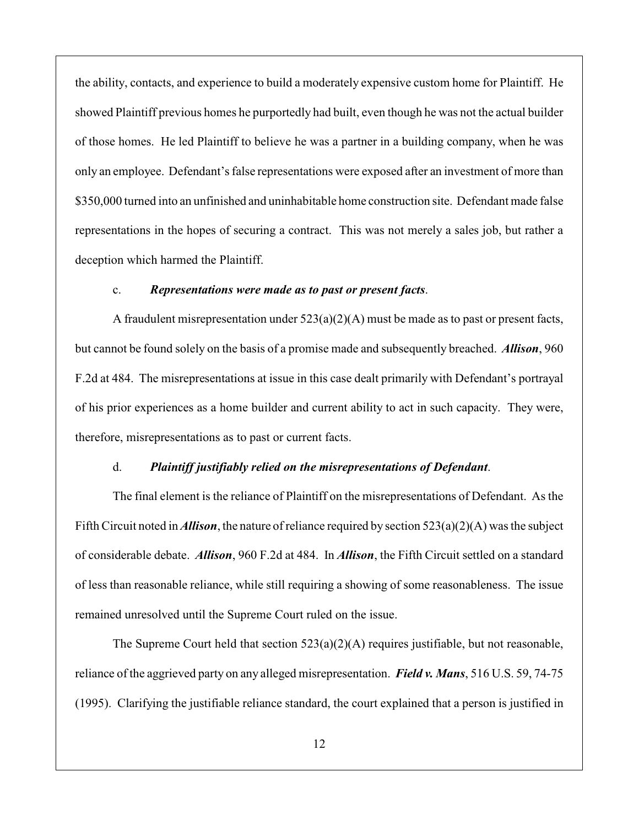the ability, contacts, and experience to build a moderately expensive custom home for Plaintiff. He showed Plaintiff previous homes he purportedly had built, even though he was not the actual builder of those homes. He led Plaintiff to believe he was a partner in a building company, when he was only an employee. Defendant's false representations were exposed after an investment of more than \$350,000 turned into an unfinished and uninhabitable home construction site. Defendant made false representations in the hopes of securing a contract. This was not merely a sales job, but rather a deception which harmed the Plaintiff.

## c. *Representations were made as to past or present facts*.

A fraudulent misrepresentation under  $523(a)(2)(A)$  must be made as to past or present facts, but cannot be found solely on the basis of a promise made and subsequently breached. *Allison*, 960 F.2d at 484. The misrepresentations at issue in this case dealt primarily with Defendant's portrayal of his prior experiences as a home builder and current ability to act in such capacity. They were, therefore, misrepresentations as to past or current facts.

#### d. *Plaintiff justifiably relied on the misrepresentations of Defendant*.

The final element is the reliance of Plaintiff on the misrepresentations of Defendant. As the Fifth Circuit noted in *Allison*, the nature of reliance required by section  $523(a)(2)(A)$  was the subject of considerable debate. *Allison*, 960 F.2d at 484. In *Allison*, the Fifth Circuit settled on a standard of less than reasonable reliance, while still requiring a showing of some reasonableness. The issue remained unresolved until the Supreme Court ruled on the issue.

The Supreme Court held that section 523(a)(2)(A) requires justifiable, but not reasonable, reliance of the aggrieved party on any alleged misrepresentation. *Field v. Mans*, 516 U.S. 59, 74-75 (1995). Clarifying the justifiable reliance standard, the court explained that a person is justified in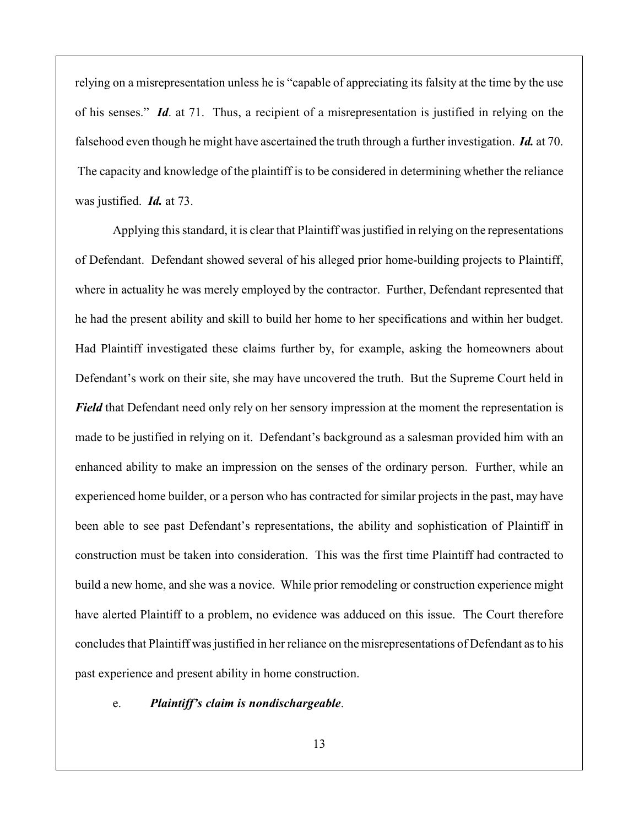relying on a misrepresentation unless he is "capable of appreciating its falsity at the time by the use of his senses." *Id*. at 71. Thus, a recipient of a misrepresentation is justified in relying on the falsehood even though he might have ascertained the truth through a further investigation. *Id.* at 70. The capacity and knowledge of the plaintiff is to be considered in determining whether the reliance was justified. *Id.* at 73.

Applying this standard, it is clear that Plaintiff was justified in relying on the representations of Defendant. Defendant showed several of his alleged prior home-building projects to Plaintiff, where in actuality he was merely employed by the contractor. Further, Defendant represented that he had the present ability and skill to build her home to her specifications and within her budget. Had Plaintiff investigated these claims further by, for example, asking the homeowners about Defendant's work on their site, she may have uncovered the truth. But the Supreme Court held in *Field* that Defendant need only rely on her sensory impression at the moment the representation is made to be justified in relying on it. Defendant's background as a salesman provided him with an enhanced ability to make an impression on the senses of the ordinary person. Further, while an experienced home builder, or a person who has contracted for similar projects in the past, may have been able to see past Defendant's representations, the ability and sophistication of Plaintiff in construction must be taken into consideration. This was the first time Plaintiff had contracted to build a new home, and she was a novice. While prior remodeling or construction experience might have alerted Plaintiff to a problem, no evidence was adduced on this issue. The Court therefore concludes that Plaintiff was justified in her reliance on the misrepresentations of Defendant as to his past experience and present ability in home construction.

e. *Plaintiff's claim is nondischargeable*.